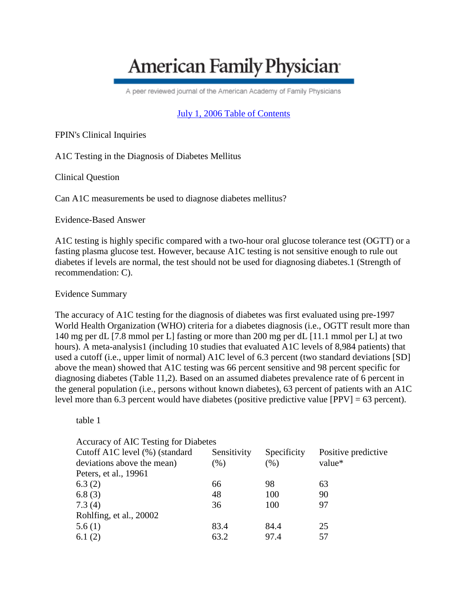# **American Family Physician**

A peer reviewed journal of the American Academy of Family Physicians

## [July 1, 2006 Table of Contents](http://www.aafp.org/afp/20060701/)

FPIN's Clinical Inquiries

A1C Testing in the Diagnosis of Diabetes Mellitus

Clinical Question

Can A1C measurements be used to diagnose diabetes mellitus?

Evidence-Based Answer

A1C testing is highly specific compared with a two-hour oral glucose tolerance test (OGTT) or a fasting plasma glucose test. However, because A1C testing is not sensitive enough to rule out diabetes if levels are normal, the test should not be used for diagnosing diabetes.1 (Strength of recommendation: C).

Evidence Summary

The accuracy of A1C testing for the diagnosis of diabetes was first evaluated using pre-1997 World Health Organization (WHO) criteria for a diabetes diagnosis (i.e., OGTT result more than 140 mg per dL [7.8 mmol per L] fasting or more than 200 mg per dL [11.1 mmol per L] at two hours). A meta-analysis1 (including 10 studies that evaluated A1C levels of 8,984 patients) that used a cutoff (i.e., upper limit of normal) A1C level of 6.3 percent (two standard deviations [SD] above the mean) showed that A1C testing was 66 percent sensitive and 98 percent specific for diagnosing diabetes (Table 11,2). Based on an assumed diabetes prevalence rate of 6 percent in the general population (i.e., persons without known diabetes), 63 percent of patients with an A1C level more than 6.3 percent would have diabetes (positive predictive value [PPV] = 63 percent).

table 1

| Accuracy of AIC Testing for Diabetes |             |             |                     |  |
|--------------------------------------|-------------|-------------|---------------------|--|
| Cutoff A1C level (%) (standard       | Sensitivity | Specificity | Positive predictive |  |
| deviations above the mean)           | $(\%)$      | (% )        | value*              |  |
| Peters, et al., 19961                |             |             |                     |  |
| 6.3(2)                               | 66          | 98          | 63                  |  |
| 6.8(3)                               | 48          | 100         | 90                  |  |
| 7.3(4)                               | 36          | 100         | 97                  |  |
| Rohlfing, et al., 20002              |             |             |                     |  |
| 5.6(1)                               | 83.4        | 84.4        | 25                  |  |
| 6.1 $(2)$                            | 63.2        | 97.4        | 57                  |  |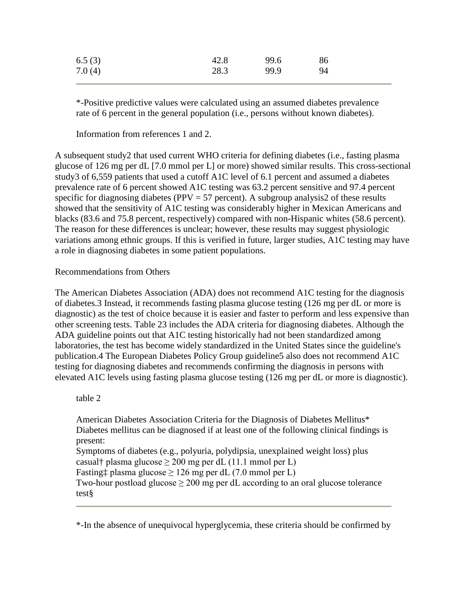| 6.5(3) | 42.8 | 99.6 | 86 |
|--------|------|------|----|
| 7.0(4) | 28.3 | 99.9 | 94 |

\*-Positive predictive values were calculated using an assumed diabetes prevalence rate of 6 percent in the general population (i.e., persons without known diabetes).

Information from references 1 and 2.

A subsequent study2 that used current WHO criteria for defining diabetes (i.e., fasting plasma glucose of 126 mg per dL [7.0 mmol per L] or more) showed similar results. This cross-sectional study3 of 6,559 patients that used a cutoff A1C level of 6.1 percent and assumed a diabetes prevalence rate of 6 percent showed A1C testing was 63.2 percent sensitive and 97.4 percent specific for diagnosing diabetes ( $PPV = 57$  percent). A subgroup analysis2 of these results showed that the sensitivity of A1C testing was considerably higher in Mexican Americans and blacks (83.6 and 75.8 percent, respectively) compared with non-Hispanic whites (58.6 percent). The reason for these differences is unclear; however, these results may suggest physiologic variations among ethnic groups. If this is verified in future, larger studies, A1C testing may have a role in diagnosing diabetes in some patient populations.

#### Recommendations from Others

The American Diabetes Association (ADA) does not recommend A1C testing for the diagnosis of diabetes.3 Instead, it recommends fasting plasma glucose testing (126 mg per dL or more is diagnostic) as the test of choice because it is easier and faster to perform and less expensive than other screening tests. Table 23 includes the ADA criteria for diagnosing diabetes. Although the ADA guideline points out that A1C testing historically had not been standardized among laboratories, the test has become widely standardized in the United States since the guideline's publication.4 The European Diabetes Policy Group guideline5 also does not recommend A1C testing for diagnosing diabetes and recommends confirming the diagnosis in persons with elevated A1C levels using fasting plasma glucose testing (126 mg per dL or more is diagnostic).

#### table 2

American Diabetes Association Criteria for the Diagnosis of Diabetes Mellitus\* Diabetes mellitus can be diagnosed if at least one of the following clinical findings is present: Symptoms of diabetes (e.g., polyuria, polydipsia, unexplained weight loss) plus casual† plasma glucose  $\geq 200$  mg per dL (11.1 mmol per L) Fasting $\ddagger$  plasma glucose  $\geq 126$  mg per dL (7.0 mmol per L) Two-hour postload glucose  $> 200$  mg per dL according to an oral glucose tolerance

test§

\*-In the absence of unequivocal hyperglycemia, these criteria should be confirmed by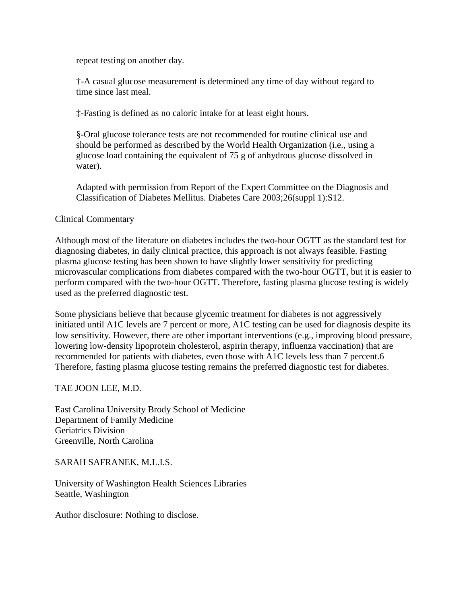repeat testing on another day.

†-A casual glucose measurement is determined any time of day without regard to time since last meal.

‡-Fasting is defined as no caloric intake for at least eight hours.

§-Oral glucose tolerance tests are not recommended for routine clinical use and should be performed as described by the World Health Organization (i.e., using a glucose load containing the equivalent of 75 g of anhydrous glucose dissolved in water).

Adapted with permission from Report of the Expert Committee on the Diagnosis and Classification of Diabetes Mellitus. Diabetes Care 2003;26(suppl 1):S12.

Clinical Commentary

Although most of the literature on diabetes includes the two-hour OGTT as the standard test for diagnosing diabetes, in daily clinical practice, this approach is not always feasible. Fasting plasma glucose testing has been shown to have slightly lower sensitivity for predicting microvascular complications from diabetes compared with the two-hour OGTT, but it is easier to perform compared with the two-hour OGTT. Therefore, fasting plasma glucose testing is widely used as the preferred diagnostic test.

Some physicians believe that because glycemic treatment for diabetes is not aggressively initiated until A1C levels are 7 percent or more, A1C testing can be used for diagnosis despite its low sensitivity. However, there are other important interventions (e.g., improving blood pressure, lowering low-density lipoprotein cholesterol, aspirin therapy, influenza vaccination) that are recommended for patients with diabetes, even those with A1C levels less than 7 percent.6 Therefore, fasting plasma glucose testing remains the preferred diagnostic test for diabetes.

TAE JOON LEE, M.D.

East Carolina University Brody School of Medicine Department of Family Medicine Geriatrics Division Greenville, North Carolina

SARAH SAFRANEK, M.L.I.S.

University of Washington Health Sciences Libraries Seattle, Washington

Author disclosure: Nothing to disclose.